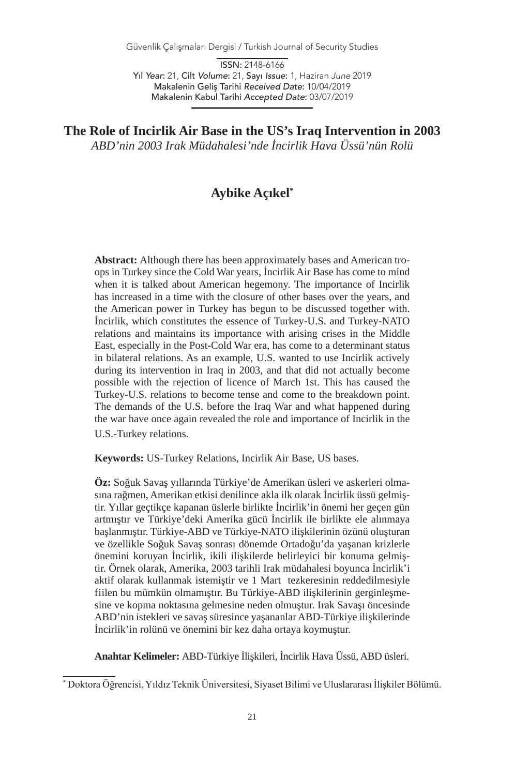Güvenlik Çalışmaları Dergisi / Turkish Journal of Security Studies

ISSN: 2148-6166 Yıl *Year*: 21, Cilt *Volume*: 21, Sayı *Issue*: 1, Haziran *June* 2019 Makalenin Geliş Tarihi *Received Date*: 10/04/2019 Makalenin Kabul Tarihi *Accepted Date*: 03/07/2019

# **The Role of Incirlik Air Base in the US's Iraq Intervention in 2003**

*ABD'nin 2003 Irak Müdahalesi'nde İncirlik Hava Üssü'nün Rolü*

# **Aybike Açıkel\***

**Abstract:** Although there has been approximately bases and American troops in Turkey since the Cold War years, İncirlik Air Base has come to mind when it is talked about American hegemony. The importance of Incirlik has increased in a time with the closure of other bases over the years, and the American power in Turkey has begun to be discussed together with. İncirlik, which constitutes the essence of Turkey-U.S. and Turkey-NATO relations and maintains its importance with arising crises in the Middle East, especially in the Post-Cold War era, has come to a determinant status in bilateral relations. As an example, U.S. wanted to use Incirlik actively during its intervention in Iraq in 2003, and that did not actually become possible with the rejection of licence of March 1st. This has caused the Turkey-U.S. relations to become tense and come to the breakdown point. The demands of the U.S. before the Iraq War and what happened during the war have once again revealed the role and importance of Incirlik in the U.S.-Turkey relations.

**Keywords:** US-Turkey Relations, Incirlik Air Base, US bases.

**Öz:** Soğuk Savaş yıllarında Türkiye'de Amerikan üsleri ve askerleri olmasına rağmen, Amerikan etkisi denilince akla ilk olarak İncirlik üssü gelmiştir. Yıllar geçtikçe kapanan üslerle birlikte İncirlik'in önemi her geçen gün artmıştır ve Türkiye'deki Amerika gücü İncirlik ile birlikte ele alınmaya başlanmıştır. Türkiye-ABD ve Türkiye-NATO ilişkilerinin özünü oluşturan ve özellikle Soğuk Savaş sonrası dönemde Ortadoğu'da yaşanan krizlerle önemini koruyan İncirlik, ikili ilişkilerde belirleyici bir konuma gelmiştir. Örnek olarak, Amerika, 2003 tarihli Irak müdahalesi boyunca İncirlik'i aktif olarak kullanmak istemiştir ve 1 Mart tezkeresinin reddedilmesiyle fiilen bu mümkün olmamıştır. Bu Türkiye-ABD ilişkilerinin gerginleşmesine ve kopma noktasına gelmesine neden olmuştur. Irak Savaşı öncesinde ABD'nin istekleri ve savaş süresince yaşananlar ABD-Türkiye ilişkilerinde İncirlik'in rolünü ve önemini bir kez daha ortaya koymuştur.

**Anahtar Kelimeler:** ABD-Türkiye İlişkileri, İncirlik Hava Üssü, ABD üsleri.

<sup>\*</sup> Doktora Öğrencisi, Yıldız Teknik Üniversitesi, Siyaset Bilimi ve Uluslararası İlişkiler Bölümü.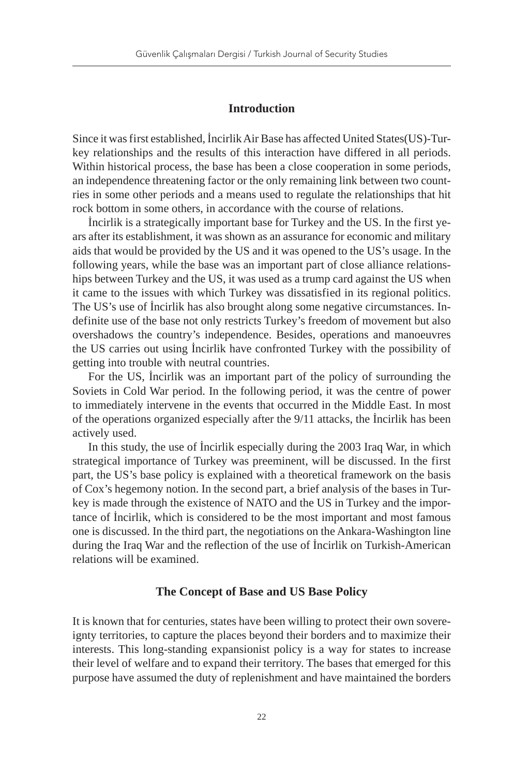### **Introduction**

Since it was first established, İncirlik Air Base has affected United States(US)-Turkey relationships and the results of this interaction have differed in all periods. Within historical process, the base has been a close cooperation in some periods, an independence threatening factor or the only remaining link between two countries in some other periods and a means used to regulate the relationships that hit rock bottom in some others, in accordance with the course of relations.

İncirlik is a strategically important base for Turkey and the US. In the first years after its establishment, it was shown as an assurance for economic and military aids that would be provided by the US and it was opened to the US's usage. In the following years, while the base was an important part of close alliance relationships between Turkey and the US, it was used as a trump card against the US when it came to the issues with which Turkey was dissatisfied in its regional politics. The US's use of İncirlik has also brought along some negative circumstances. Indefinite use of the base not only restricts Turkey's freedom of movement but also overshadows the country's independence. Besides, operations and manoeuvres the US carries out using İncirlik have confronted Turkey with the possibility of getting into trouble with neutral countries.

For the US, İncirlik was an important part of the policy of surrounding the Soviets in Cold War period. In the following period, it was the centre of power to immediately intervene in the events that occurred in the Middle East. In most of the operations organized especially after the 9/11 attacks, the İncirlik has been actively used.

In this study, the use of İncirlik especially during the 2003 Iraq War, in which strategical importance of Turkey was preeminent, will be discussed. In the first part, the US's base policy is explained with a theoretical framework on the basis of Cox's hegemony notion. In the second part, a brief analysis of the bases in Turkey is made through the existence of NATO and the US in Turkey and the importance of İncirlik, which is considered to be the most important and most famous one is discussed. In the third part, the negotiations on the Ankara-Washington line during the Iraq War and the reflection of the use of İncirlik on Turkish-American relations will be examined.

#### **The Concept of Base and US Base Policy**

It is known that for centuries, states have been willing to protect their own sovereignty territories, to capture the places beyond their borders and to maximize their interests. This long-standing expansionist policy is a way for states to increase their level of welfare and to expand their territory. The bases that emerged for this purpose have assumed the duty of replenishment and have maintained the borders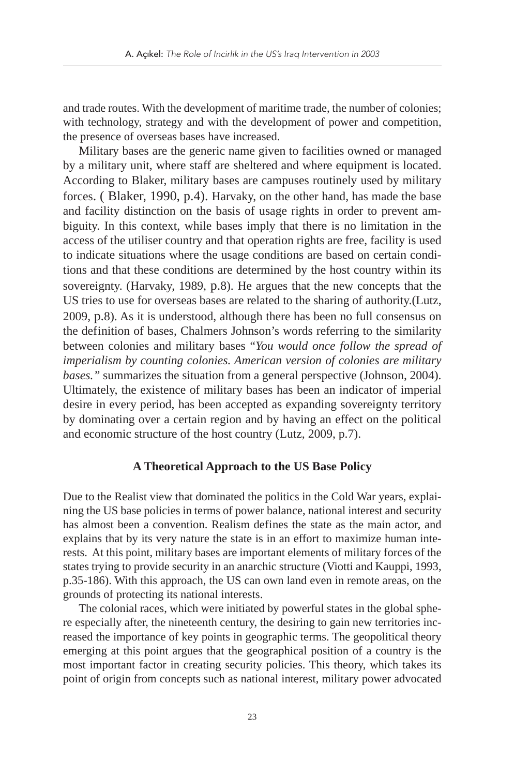and trade routes. With the development of maritime trade, the number of colonies; with technology, strategy and with the development of power and competition, the presence of overseas bases have increased.

Military bases are the generic name given to facilities owned or managed by a military unit, where staff are sheltered and where equipment is located. According to Blaker, military bases are campuses routinely used by military forces. ( Blaker, 1990, p.4). Harvaky, on the other hand, has made the base and facility distinction on the basis of usage rights in order to prevent ambiguity. In this context, while bases imply that there is no limitation in the access of the utiliser country and that operation rights are free, facility is used to indicate situations where the usage conditions are based on certain conditions and that these conditions are determined by the host country within its sovereignty. (Harvaky, 1989, p.8). He argues that the new concepts that the US tries to use for overseas bases are related to the sharing of authority.(Lutz, 2009, p.8). As it is understood, although there has been no full consensus on the definition of bases, Chalmers Johnson's words referring to the similarity between colonies and military bases "*You would once follow the spread of imperialism by counting colonies. American version of colonies are military bases."* summarizes the situation from a general perspective (Johnson, 2004). Ultimately, the existence of military bases has been an indicator of imperial desire in every period, has been accepted as expanding sovereignty territory by dominating over a certain region and by having an effect on the political and economic structure of the host country (Lutz, 2009, p.7).

### **A Theoretical Approach to the US Base Policy**

Due to the Realist view that dominated the politics in the Cold War years, explaining the US base policies in terms of power balance, national interest and security has almost been a convention. Realism defines the state as the main actor, and explains that by its very nature the state is in an effort to maximize human interests. At this point, military bases are important elements of military forces of the states trying to provide security in an anarchic structure (Viotti and Kauppi, 1993, p.35-186). With this approach, the US can own land even in remote areas, on the grounds of protecting its national interests.

The colonial races, which were initiated by powerful states in the global sphere especially after, the nineteenth century, the desiring to gain new territories increased the importance of key points in geographic terms. The geopolitical theory emerging at this point argues that the geographical position of a country is the most important factor in creating security policies. This theory, which takes its point of origin from concepts such as national interest, military power advocated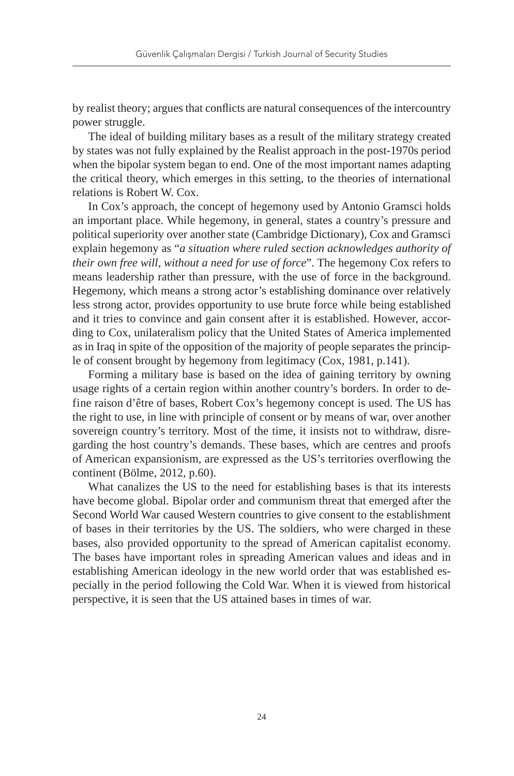by realist theory; argues that conflicts are natural consequences of the intercountry power struggle.

The ideal of building military bases as a result of the military strategy created by states was not fully explained by the Realist approach in the post-1970s period when the bipolar system began to end. One of the most important names adapting the critical theory, which emerges in this setting, to the theories of international relations is Robert W. Cox.

In Cox's approach, the concept of hegemony used by Antonio Gramsci holds an important place. While hegemony, in general, states a country's pressure and political superiority over another state (Cambridge Dictionary), Cox and Gramsci explain hegemony as "*a situation where ruled section acknowledges authority of their own free will, without a need for use of force*". The hegemony Cox refers to means leadership rather than pressure, with the use of force in the background. Hegemony, which means a strong actor's establishing dominance over relatively less strong actor, provides opportunity to use brute force while being established and it tries to convince and gain consent after it is established. However, according to Cox, unilateralism policy that the United States of America implemented as in Iraq in spite of the opposition of the majority of people separates the principle of consent brought by hegemony from legitimacy (Cox, 1981, p.141).

Forming a military base is based on the idea of gaining territory by owning usage rights of a certain region within another country's borders. In order to define raison d'être of bases, Robert Cox's hegemony concept is used. The US has the right to use, in line with principle of consent or by means of war, over another sovereign country's territory. Most of the time, it insists not to withdraw, disregarding the host country's demands. These bases, which are centres and proofs of American expansionism, are expressed as the US's territories overflowing the continent (Bölme, 2012, p.60).

What canalizes the US to the need for establishing bases is that its interests have become global. Bipolar order and communism threat that emerged after the Second World War caused Western countries to give consent to the establishment of bases in their territories by the US. The soldiers, who were charged in these bases, also provided opportunity to the spread of American capitalist economy. The bases have important roles in spreading American values and ideas and in establishing American ideology in the new world order that was established especially in the period following the Cold War. When it is viewed from historical perspective, it is seen that the US attained bases in times of war.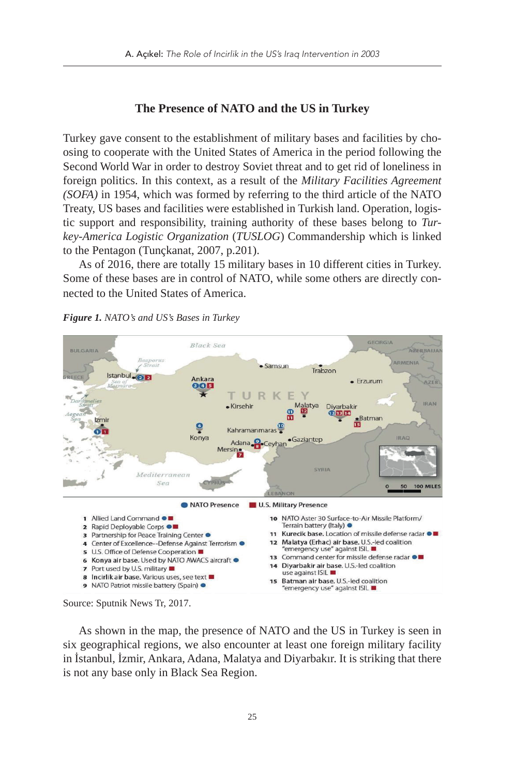### **The Presence of NATO and the US in Turkey**

Turkey gave consent to the establishment of military bases and facilities by choosing to cooperate with the United States of America in the period following the Second World War in order to destroy Soviet threat and to get rid of loneliness in foreign politics. In this context, as a result of the *Military Facilities Agreement (SOFA)* in 1954, which was formed by referring to the third article of the NATO Treaty, US bases and facilities were established in Turkish land. Operation, logistic support and responsibility, training authority of these bases belong to *Turkey-America Logistic Organization* (*TUSLOG*) Commandership which is linked to the Pentagon (Tunçkanat, 2007, p.201).

As of 2016, there are totally 15 military bases in 10 different cities in Turkey. Some of these bases are in control of NATO, while some others are directly connected to the United States of America.





Source: Sputnik News Tr, 2017.

As shown in the map, the presence of NATO and the US in Turkey is seen in six geographical regions, we also encounter at least one foreign military facility in İstanbul, İzmir, Ankara, Adana, Malatya and Diyarbakır. It is striking that there is not any base only in Black Sea Region.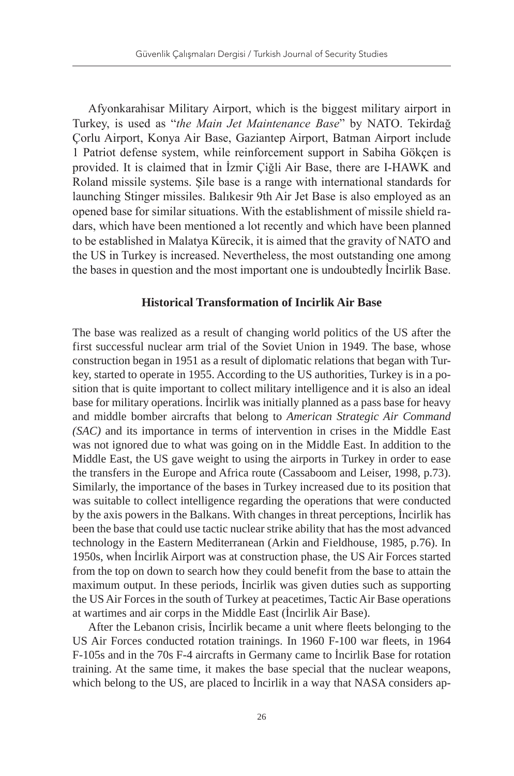Afyonkarahisar Military Airport, which is the biggest military airport in Turkey, is used as "*the Main Jet Maintenance Base*" by NATO. Tekirdağ Çorlu Airport, Konya Air Base, Gaziantep Airport, Batman Airport include 1 Patriot defense system, while reinforcement support in Sabiha Gökçen is provided. It is claimed that in İzmir Çiğli Air Base, there are I-HAWK and Roland missile systems. Şile base is a range with international standards for launching Stinger missiles. Balıkesir 9th Air Jet Base is also employed as an opened base for similar situations. With the establishment of missile shield radars, which have been mentioned a lot recently and which have been planned to be established in Malatya Kürecik, it is aimed that the gravity of NATO and the US in Turkey is increased. Nevertheless, the most outstanding one among the bases in question and the most important one is undoubtedly İncirlik Base.

# **Historical Transformation of Incirlik Air Base**

The base was realized as a result of changing world politics of the US after the first successful nuclear arm trial of the Soviet Union in 1949. The base, whose construction began in 1951 as a result of diplomatic relations that began with Turkey, started to operate in 1955. According to the US authorities, Turkey is in a position that is quite important to collect military intelligence and it is also an ideal base for military operations. İncirlik was initially planned as a pass base for heavy and middle bomber aircrafts that belong to *American Strategic Air Command (SAC)* and its importance in terms of intervention in crises in the Middle East was not ignored due to what was going on in the Middle East. In addition to the Middle East, the US gave weight to using the airports in Turkey in order to ease the transfers in the Europe and Africa route (Cassaboom and Leiser, 1998, p.73). Similarly, the importance of the bases in Turkey increased due to its position that was suitable to collect intelligence regarding the operations that were conducted by the axis powers in the Balkans. With changes in threat perceptions, İncirlik has been the base that could use tactic nuclear strike ability that has the most advanced technology in the Eastern Mediterranean (Arkin and Fieldhouse, 1985, p.76). In 1950s, when İncirlik Airport was at construction phase, the US Air Forces started from the top on down to search how they could benefit from the base to attain the maximum output. In these periods, İncirlik was given duties such as supporting the US Air Forces in the south of Turkey at peacetimes, Tactic Air Base operations at wartimes and air corps in the Middle East (İncirlik Air Base).

After the Lebanon crisis, İncirlik became a unit where fleets belonging to the US Air Forces conducted rotation trainings. In 1960 F-100 war fleets, in 1964 F-105s and in the 70s F-4 aircrafts in Germany came to İncirlik Base for rotation training. At the same time, it makes the base special that the nuclear weapons, which belong to the US, are placed to İncirlik in a way that NASA considers ap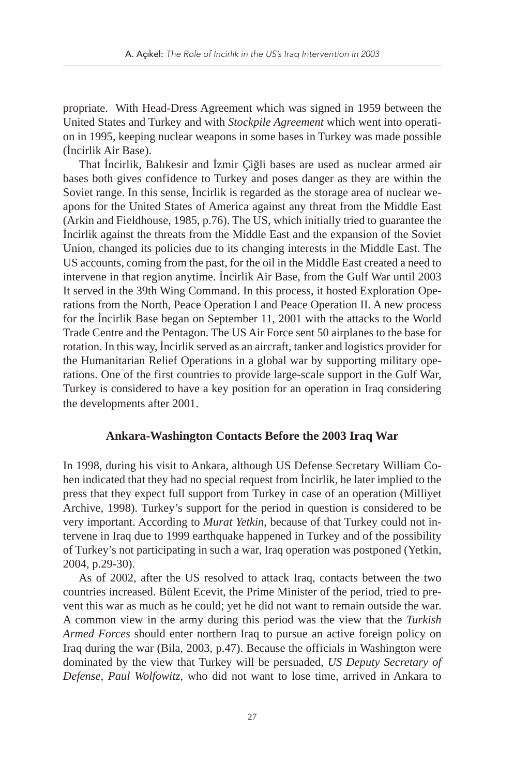propriate. With Head-Dress Agreement which was signed in 1959 between the United States and Turkey and with *Stockpile Agreement* which went into operation in 1995, keeping nuclear weapons in some bases in Turkey was made possible (İncirlik Air Base).

That İncirlik, Balıkesir and İzmir Çiğli bases are used as nuclear armed air bases both gives confidence to Turkey and poses danger as they are within the Soviet range. In this sense, İncirlik is regarded as the storage area of nuclear weapons for the United States of America against any threat from the Middle East (Arkin and Fieldhouse, 1985, p.76). The US, which initially tried to guarantee the İncirlik against the threats from the Middle East and the expansion of the Soviet Union, changed its policies due to its changing interests in the Middle East. The US accounts, coming from the past, for the oil in the Middle East created a need to intervene in that region anytime. İncirlik Air Base, from the Gulf War until 2003 It served in the 39th Wing Command. In this process, it hosted Exploration Operations from the North, Peace Operation I and Peace Operation II. A new process for the İncirlik Base began on September 11, 2001 with the attacks to the World Trade Centre and the Pentagon. The US Air Force sent 50 airplanes to the base for rotation. In this way, İncirlik served as an aircraft, tanker and logistics provider for the Humanitarian Relief Operations in a global war by supporting military operations. One of the first countries to provide large-scale support in the Gulf War, Turkey is considered to have a key position for an operation in Iraq considering the developments after 2001.

# **Ankara-Washington Contacts Before the 2003 Iraq War**

In 1998, during his visit to Ankara, although US Defense Secretary William Cohen indicated that they had no special request from İncirlik, he later implied to the press that they expect full support from Turkey in case of an operation (Milliyet Archive, 1998). Turkey's support for the period in question is considered to be very important. According to *Murat Yetkin*, because of that Turkey could not intervene in Iraq due to 1999 earthquake happened in Turkey and of the possibility of Turkey's not participating in such a war, Iraq operation was postponed (Yetkin, 2004, p.29-30).

As of 2002, after the US resolved to attack Iraq, contacts between the two countries increased. Bülent Ecevit, the Prime Minister of the period, tried to prevent this war as much as he could; yet he did not want to remain outside the war. A common view in the army during this period was the view that the *Turkish Armed Forces* should enter northern Iraq to pursue an active foreign policy on Iraq during the war (Bila, 2003, p.47). Because the officials in Washington were dominated by the view that Turkey will be persuaded, *US Deputy Secretary of Defense*, *Paul Wolfowitz*, who did not want to lose time, arrived in Ankara to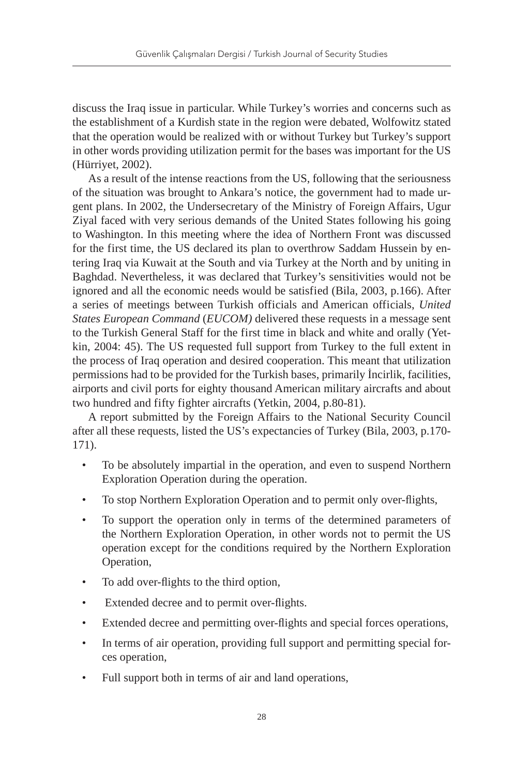discuss the Iraq issue in particular. While Turkey's worries and concerns such as the establishment of a Kurdish state in the region were debated, Wolfowitz stated that the operation would be realized with or without Turkey but Turkey's support in other words providing utilization permit for the bases was important for the US (Hürriyet, 2002).

As a result of the intense reactions from the US, following that the seriousness of the situation was brought to Ankara's notice, the government had to made urgent plans. In 2002, the Undersecretary of the Ministry of Foreign Affairs, Ugur Ziyal faced with very serious demands of the United States following his going to Washington. In this meeting where the idea of Northern Front was discussed for the first time, the US declared its plan to overthrow Saddam Hussein by entering Iraq via Kuwait at the South and via Turkey at the North and by uniting in Baghdad. Nevertheless, it was declared that Turkey's sensitivities would not be ignored and all the economic needs would be satisfied (Bila, 2003, p.166). After a series of meetings between Turkish officials and American officials, *United States European Command* (*EUCOM)* delivered these requests in a message sent to the Turkish General Staff for the first time in black and white and orally (Yetkin, 2004: 45). The US requested full support from Turkey to the full extent in the process of Iraq operation and desired cooperation. This meant that utilization permissions had to be provided for the Turkish bases, primarily İncirlik, facilities, airports and civil ports for eighty thousand American military aircrafts and about two hundred and fifty fighter aircrafts (Yetkin, 2004, p.80-81).

A report submitted by the Foreign Affairs to the National Security Council after all these requests, listed the US's expectancies of Turkey (Bila, 2003, p.170- 171).

- To be absolutely impartial in the operation, and even to suspend Northern Exploration Operation during the operation.
- To stop Northern Exploration Operation and to permit only over-flights,
- To support the operation only in terms of the determined parameters of the Northern Exploration Operation, in other words not to permit the US operation except for the conditions required by the Northern Exploration Operation,
- To add over-flights to the third option,
- Extended decree and to permit over-flights.
- Extended decree and permitting over-flights and special forces operations,
- In terms of air operation, providing full support and permitting special forces operation,
- Full support both in terms of air and land operations,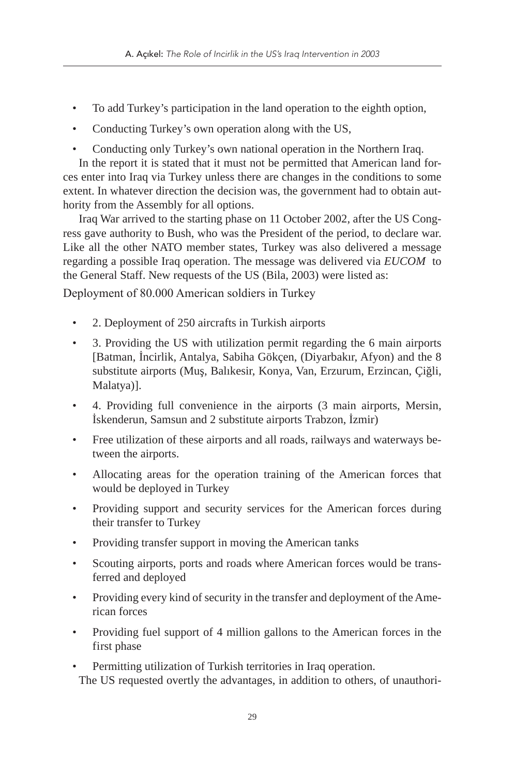- To add Turkey's participation in the land operation to the eighth option,
- Conducting Turkey's own operation along with the US,
- Conducting only Turkey's own national operation in the Northern Iraq.

In the report it is stated that it must not be permitted that American land forces enter into Iraq via Turkey unless there are changes in the conditions to some extent. In whatever direction the decision was, the government had to obtain authority from the Assembly for all options.

Iraq War arrived to the starting phase on 11 October 2002, after the US Congress gave authority to Bush, who was the President of the period, to declare war. Like all the other NATO member states, Turkey was also delivered a message regarding a possible Iraq operation. The message was delivered via *EUCOM* to the General Staff. New requests of the US (Bila, 2003) were listed as:

Deployment of 80.000 American soldiers in Turkey

- 2. Deployment of 250 aircrafts in Turkish airports
- 3. Providing the US with utilization permit regarding the 6 main airports [Batman, İncirlik, Antalya, Sabiha Gökçen, (Diyarbakır, Afyon) and the 8 substitute airports (Muş, Balıkesir, Konya, Van, Erzurum, Erzincan, Çiğli, Malatya)].
- 4. Providing full convenience in the airports (3 main airports, Mersin, İskenderun, Samsun and 2 substitute airports Trabzon, İzmir)
- Free utilization of these airports and all roads, railways and waterways between the airports.
- Allocating areas for the operation training of the American forces that would be deployed in Turkey
- Providing support and security services for the American forces during their transfer to Turkey
- Providing transfer support in moving the American tanks
- Scouting airports, ports and roads where American forces would be transferred and deployed
- Providing every kind of security in the transfer and deployment of the American forces
- Providing fuel support of 4 million gallons to the American forces in the first phase
- Permitting utilization of Turkish territories in Iraq operation. The US requested overtly the advantages, in addition to others, of unauthori-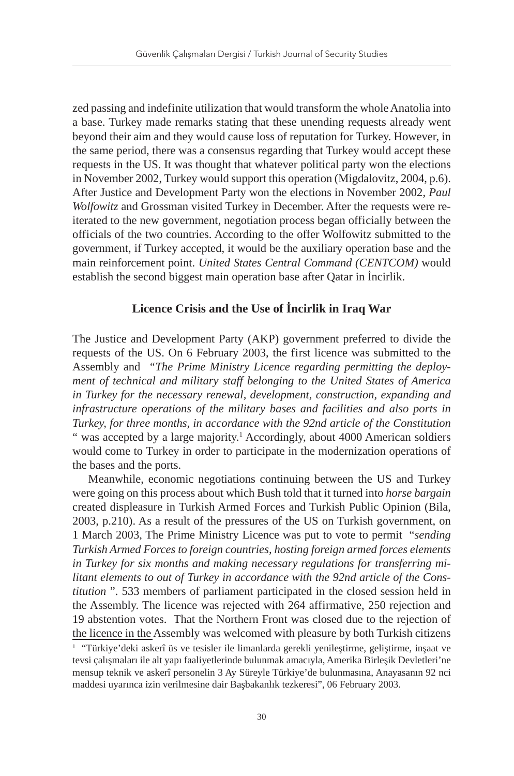zed passing and indefinite utilization that would transform the whole Anatolia into a base. Turkey made remarks stating that these unending requests already went beyond their aim and they would cause loss of reputation for Turkey. However, in the same period, there was a consensus regarding that Turkey would accept these requests in the US. It was thought that whatever political party won the elections in November 2002, Turkey would support this operation (Migdalovitz, 2004, p.6). After Justice and Development Party won the elections in November 2002, *Paul Wolfowitz* and Grossman visited Turkey in December. After the requests were reiterated to the new government, negotiation process began officially between the officials of the two countries. According to the offer Wolfowitz submitted to the government, if Turkey accepted, it would be the auxiliary operation base and the main reinforcement point. *United States Central Command (CENTCOM)* would establish the second biggest main operation base after Qatar in İncirlik.

# **Licence Crisis and the Use of İncirlik in Iraq War**

The Justice and Development Party (AKP) government preferred to divide the requests of the US. On 6 February 2003, the first licence was submitted to the Assembly and *"The Prime Ministry Licence regarding permitting the deployment of technical and military staff belonging to the United States of America in Turkey for the necessary renewal, development, construction, expanding and infrastructure operations of the military bases and facilities and also ports in Turkey, for three months, in accordance with the 92nd article of the Constitution*  " was accepted by a large majority. $<sup>1</sup>$  Accordingly, about 4000 American soldiers</sup> would come to Turkey in order to participate in the modernization operations of the bases and the ports.

Meanwhile, economic negotiations continuing between the US and Turkey were going on this process about which Bush told that it turned into *horse bargain* created displeasure in Turkish Armed Forces and Turkish Public Opinion (Bila, 2003, p.210). As a result of the pressures of the US on Turkish government, on 1 March 2003, The Prime Ministry Licence was put to vote to permit "*sending Turkish Armed Forces to foreign countries, hosting foreign armed forces elements in Turkey for six months and making necessary regulations for transferring militant elements to out of Turkey in accordance with the 92nd article of the Constitution* ". 533 members of parliament participated in the closed session held in the Assembly. The licence was rejected with 264 affirmative, 250 rejection and 19 abstention votes. That the Northern Front was closed due to the rejection of the licence in the Assembly was welcomed with pleasure by both Turkish citizens 1 "Türkiye'deki askerî üs ve tesisler ile limanlarda gerekli yenileştirme, geliştirme, inşaat ve tevsi çalışmaları ile alt yapı faaliyetlerinde bulunmak amacıyla, Amerika Birleşik Devletleri'ne mensup teknik ve askerî personelin 3 Ay Süreyle Türkiye'de bulunmasına, Anayasanın 92 nci maddesi uyarınca izin verilmesine dair Başbakanlık tezkeresi", 06 February 2003.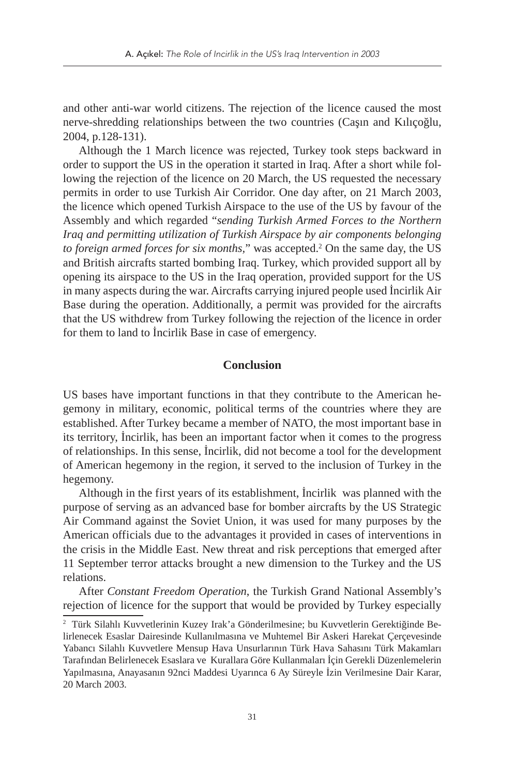and other anti-war world citizens. The rejection of the licence caused the most nerve-shredding relationships between the two countries (Caşın and Kılıçoğlu, 2004, p.128-131).

Although the 1 March licence was rejected, Turkey took steps backward in order to support the US in the operation it started in Iraq. After a short while following the rejection of the licence on 20 March, the US requested the necessary permits in order to use Turkish Air Corridor. One day after, on 21 March 2003, the licence which opened Turkish Airspace to the use of the US by favour of the Assembly and which regarded "*sending Turkish Armed Forces to the Northern Iraq and permitting utilization of Turkish Airspace by air components belonging*  to foreign armed forces for six months," was accepted.<sup>2</sup> On the same day, the US and British aircrafts started bombing Iraq. Turkey, which provided support all by opening its airspace to the US in the Iraq operation, provided support for the US in many aspects during the war. Aircrafts carrying injured people used İncirlik Air Base during the operation. Additionally, a permit was provided for the aircrafts that the US withdrew from Turkey following the rejection of the licence in order for them to land to İncirlik Base in case of emergency.

### **Conclusion**

US bases have important functions in that they contribute to the American hegemony in military, economic, political terms of the countries where they are established. After Turkey became a member of NATO, the most important base in its territory, İncirlik, has been an important factor when it comes to the progress of relationships. In this sense, İncirlik, did not become a tool for the development of American hegemony in the region, it served to the inclusion of Turkey in the hegemony.

Although in the first years of its establishment, İncirlik was planned with the purpose of serving as an advanced base for bomber aircrafts by the US Strategic Air Command against the Soviet Union, it was used for many purposes by the American officials due to the advantages it provided in cases of interventions in the crisis in the Middle East. New threat and risk perceptions that emerged after 11 September terror attacks brought a new dimension to the Turkey and the US relations.

After *Constant Freedom Operation*, the Turkish Grand National Assembly's rejection of licence for the support that would be provided by Turkey especially

<sup>2</sup> Türk Silahlı Kuvvetlerinin Kuzey Irak'a Gönderilmesine; bu Kuvvetlerin Gerektiğinde Belirlenecek Esaslar Dairesinde Kullanılmasına ve Muhtemel Bir Askeri Harekat Çerçevesinde Yabancı Silahlı Kuvvetlere Mensup Hava Unsurlarının Türk Hava Sahasını Türk Makamları Tarafından Belirlenecek Esaslara ve Kurallara Göre Kullanmaları İçin Gerekli Düzenlemelerin Yapılmasına, Anayasanın 92nci Maddesi Uyarınca 6 Ay Süreyle İzin Verilmesine Dair Karar, 20 March 2003.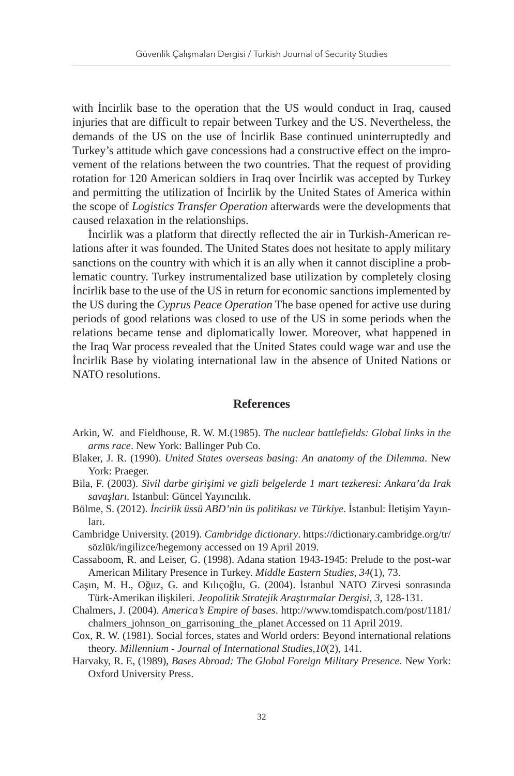with İncirlik base to the operation that the US would conduct in Iraq, caused injuries that are difficult to repair between Turkey and the US. Nevertheless, the demands of the US on the use of İncirlik Base continued uninterruptedly and Turkey's attitude which gave concessions had a constructive effect on the improvement of the relations between the two countries. That the request of providing rotation for 120 American soldiers in Iraq over İncirlik was accepted by Turkey and permitting the utilization of İncirlik by the United States of America within the scope of *Logistics Transfer Operation* afterwards were the developments that caused relaxation in the relationships.

İncirlik was a platform that directly reflected the air in Turkish-American relations after it was founded. The United States does not hesitate to apply military sanctions on the country with which it is an ally when it cannot discipline a problematic country. Turkey instrumentalized base utilization by completely closing İncirlik base to the use of the US in return for economic sanctions implemented by the US during the *Cyprus Peace Operation* The base opened for active use during periods of good relations was closed to use of the US in some periods when the relations became tense and diplomatically lower. Moreover, what happened in the Iraq War process revealed that the United States could wage war and use the İncirlik Base by violating international law in the absence of United Nations or NATO resolutions.

#### **References**

- Arkin, W. and Fieldhouse, R. W. M.(1985). *The nuclear battlefields: Global links in the arms race*. New York: Ballinger Pub Co.
- Blaker, J. R. (1990). *United States overseas basing: An anatomy of the Dilemma*. New York: Praeger.
- Bila, F. (2003). *Sivil darbe girişimi ve gizli belgelerde 1 mart tezkeresi: Ankara'da Irak savaşları.* Istanbul: Güncel Yayıncılık.
- Bölme, S. (2012). *İncirlik üssü ABD'nin üs politikası ve Türkiye*. İstanbul: İletişim Yayınları.
- Cambridge University. (2019). *Cambridge dictionary*. https://dictionary.cambridge.org/tr/ sözlük/ingilizce/hegemony accessed on 19 April 2019.
- Cassaboom, R. and Leiser, G. (1998). Adana station 1943-1945: Prelude to the post-war American Military Presence in Turkey. *Middle Eastern Studies*, *34*(1), 73.
- Caşın, M. H., Oğuz, G. and Kılıçoğlu, G. (2004). İstanbul NATO Zirvesi sonrasında Türk-Amerikan ilişkileri. *Jeopolitik Stratejik Araştırmalar Dergisi*, *3,* 128-131.
- Chalmers, J. (2004). *America's Empire of bases*. http://www.tomdispatch.com/post/1181/ chalmers\_johnson\_on\_garrisoning\_the\_planet Accessed on 11 April 2019.
- Cox, R. W. (1981). Social forces, states and World orders: Beyond international relations theory. *Millennium - Journal of International Studies*,*10*(2), 141.
- Harvaky, R. E, (1989), *Bases Abroad: The Global Foreign Military Presence*. New York: Oxford University Press.